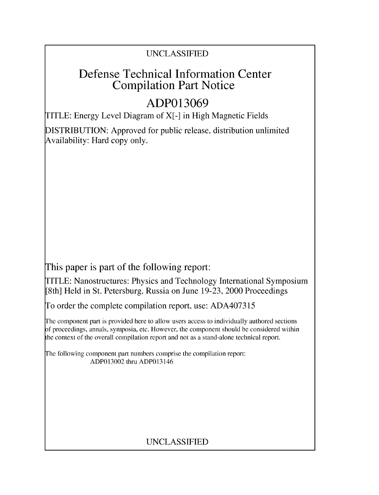# UNCLASSIFIED

# **Defense Technical Information Center Compilation Part Notice**

# **ADP013069**

TITLE: Energy Level Diagram of X[-] in High Magnetic Fields

**DISTRIBUTION:** Approved for public release, distribution unlimited Availability: Hard copy only.

This paper is part of the following report:

TITLE: Nanostructures: Physics and Technology International Symposium [8th] Held in St. Petersburg, Russia on June 19-23, 2000 Proceedings

To order the complete compilation report, use: ADA407315

The component part is provided here to allow users access to individually authored sections f proceedings, annals, symposia, etc. However, the component should be considered within the context of the overall compilation report and not as a stand-alone technical report.

The following component part numbers comprise the compilation report: ADP013002 thru ADP013146

# UNCLASSIFIED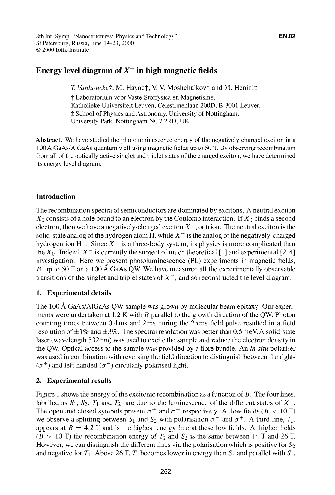# **Energy level diagram of**  $X^-$  **in high magnetic fields**

*T. Vanhoucke*†, M. Hayne†, V. V. Moshchalkov† and M. Henini‡ **T** Laboratorium voor Vaste-Stoffysica en Magnetisme, Katholieke Universiteit Leuven, Celestijnenlaan 200D, B-3001 Leuven **1:** School of Physics and Astronomy, University of Nottingham, University Park, Nottingham NG7 2RD, UK

**Abstract.** We have studied the photoluminescence energy of the negatively charged exciton in a 100 **A** GaAs/AlGaAs quantum well using magnetic fields up to 50 T. By observing recombination from all of the optically active singlet and triplet states of the charged exciton, we have determined its energy level diagram.

## **Introduction**

The recombination spectra of semiconductors are dominated by excitons. **A** neutral exciton  $X_0$  consists of a hole bound to an electron by the Coulomb interaction. If  $X_0$  binds a second electron, then we have a negatively-charged exciton  $X^-$ , or trion. The neutral exciton is the solid-state analog of the hydrogen atom H, while  $X^-$  is the analog of the negatively-charged hydrogen ion  $H^-$ . Since  $X^-$  is a three-body system, its physics is more complicated than the  $X_0$ . Indeed,  $X^-$  is currently the subject of much theoretical [1] and experimental [2-4] investigation. Here we present photoluminescence (PL) experiments in magnetic fields, *B,* up to 50 T on a 100 **A** GaAs QW. We have measured all the experimentally observable transitions of the singlet and triplet states of  $X^-$ , and so reconstructed the level diagram.

## **1. Experimental details**

The 100 **A** GaAs/A1GaAs QW sample was grown by molecular beam epitaxy. Our experiments were undertaken at 1.2 K with *B* parallel to the growth direction of the QW. Photon counting times between 0.4ms and 2ms during the 25ms field pulse resulted in a field resolution of  $\pm 1\%$  and  $\pm 3\%$ . The spectral resolution was better than 0.5 meV. A solid-state laser (wavelength 532 nm) was used to excite the sample and reduce the electron density in the QW. Optical access to the sample was provided by a fibre bundle. An *in-situ* polariser was used in combination with reversing the field direction to distinguish between the right-  $(\sigma^+)$  and left-handed  $(\sigma^-)$  circularly polarised light.

### 2. **Experimental results**

Figure 1 shows the energy of the excitonic recombination as a function of *B.* The four lines, labelled as  $S_1$ ,  $S_2$ ,  $T_1$  and  $T_2$ , are due to the luminescence of the different states of  $X^-$ . The open and closed symbols present  $\sigma^+$  and  $\sigma^-$  respectively. At low fields *(B < 10 T)* we observe a splitting between  $S_1$  and  $S_2$  with polarisation  $\sigma^-$  and  $\sigma^+$ . A third line,  $T_1$ , appears at  $B = 4.2$  T and is the highest energy line at these low fields. At higher fields  $(B > 10 \text{ T})$  the recombination energy of  $T_1$  and  $S_2$  is the same between 14 T and 26 T. However, we can distinguish the different lines via the polarisation which is positive for  $S_2$ and negative for  $T_1$ . Above 26 T,  $T_1$  becomes lower in energy than  $S_2$  and parallel with  $S_1$ .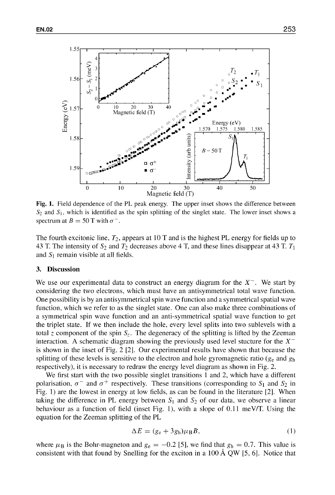

Fig. 1. Field dependence of the PL peak energy. The upper inset shows the difference between  $S_2$  and  $S_1$ , which is identified as the spin splitting of the singlet state. The lower inset shows a spectrum at  $B = 50$  T with  $\sigma^-$ .

The fourth excitonic line, *T2,* appears at 10 T and is the highest PL energy for fields up to 43 T. The intensity of  $S_2$  and  $T_2$  decreases above 4 T, and these lines disappear at 43 T.  $T_1$ and  $S_1$  remain visible at all fields.

### **3. Discussion**

We use our experimental data to construct an energy diagram for the  $X^-$ . We start by considering the two electrons, which must have an antisymmetrical total wave function. One possibility is by an antisymmetrical spin wave function and a symmetrical spatial wave function, which we refer to as the singlet state. One can also make three combinations of a symmetrical spin wave function and an anti-symmetrical spatial wave function to get the triplet state. If we then include the hole, every level splits into two sublevels with a total z component of the spin  $S_z$ . The degeneracy of the splitting is lifted by the Zeeman interaction. A schematic diagram showing the previously used level stucture for the  $X^$ is shown in the inset of Fig. 2 [21. Our experimental results have shown that because the splitting of these levels is sensitive to the electron and hole gyromagnetic ratio  $(g_e$  and  $g_h$ respectively), it is necessary to redraw the energy level diagram as shown in Fig. 2.

We first start with the two possible singlet transitions 1 and 2, which have a different polarisation,  $\sigma^-$  and  $\sigma^+$  respectively. These transitions (corresponding to  $S_1$  and  $S_2$  in Fig. 1) are the lowest in energy at low fields, as can be found in the literature [21. When taking the difference in PL energy between  $S_1$  and  $S_2$  of our data, we observe a linear behaviour as a function of field (inset Fig. 1), with a slope of 0.11 meV/T. Using the equation for the Zeeman splitting of the PL

$$
\Delta E = (g_e + 3g_h)\mu_B B,\tag{1}
$$

where  $\mu_B$  is the Bohr-magneton and  $g_e = -0.2$  [5], we find that  $g_h = 0.7$ . This value is consistent with that found by Snelling for the exciton in a 100 Å QW [5, 6]. Notice that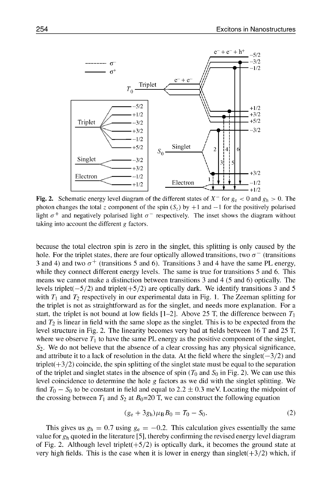

Fig. 2. Schematic energy level diagram of the different states of  $X^-$  for  $g_e < 0$  and  $g_h > 0$ . The photon changes the total z component of the spin  $(S_7)$  by  $+1$  and  $-1$  for the positively polarised light  $\sigma^+$  and negatively polarised light  $\sigma^-$  respectively. The inset shows the diagram without taking into account the different g factors.

because the total electron spin is zero in the singlet, this splitting is only caused by the hole. For the triplet states, there are four optically allowed transitions, two  $\sigma^-$  (transitions 3 and 4) and two  $\sigma^+$  (transitions 5 and 6). Transitions 3 and 4 have the same PL energy, while they connect different energy levels. The same is true for transitions 5 and 6. This means we cannot make a distinction between transitions 3 and 4 (5 and 6) optically. The levels triplet( $-5/2$ ) and triplet( $+5/2$ ) are optically dark. We identify transitions 3 and 5 with *T1* and *T2* respectively in our experimental data in Fig. 1. The Zeeman splitting for the triplet is not as straightforward as for the singlet, and needs more explanation. For a start, the triplet is not bound at low fields  $[1-2]$ . Above 25 T, the difference between  $T_1$ and *T2* is linear in field with the same slope as the singlet. This is to be expected from the level structure in Fig. 2. The linearity becomes very bad at fields between 16 T and 25 T, where we observe  $T_1$  to have the same PL energy as the positive component of the singlet,  $S_2$ . We do not believe that the absence of a clear crossing has any physical significance, and attribute it to a lack of resolution in the data. At the field where the singlet( $-3/2$ ) and triplet( $+3/2$ ) coincide, the spin splitting of the singlet state must be equal to the separation of the triplet and singlet states in the absence of spin  $(T_0$  and  $S_0$  in Fig. 2). We can use this level coincidence to determine the hole  $g$  factors as we did with the singlet splitting. We find  $T_0 - S_0$  to be constant in field and equal to 2.2  $\pm$  0.3 meV. Locating the midpoint of the crossing between  $T_1$  and  $S_2$  at  $B_0 = 20$  T, we can construct the following equation

$$
(g_e + 3g_h)\mu_B B_0 = T_0 - S_0.
$$
 (2)

This gives us  $g_h = 0.7$  using  $g_e = -0.2$ . This calculation gives essentially the same value for  $g_h$  quoted in the literature [5], thereby confirming the revised energy level diagram of Fig. 2. Although level triplet $(+5/2)$  is optically dark, it becomes the ground state at very high fields. This is the case when it is lower in energy than singlet( $+3/2$ ) which, if